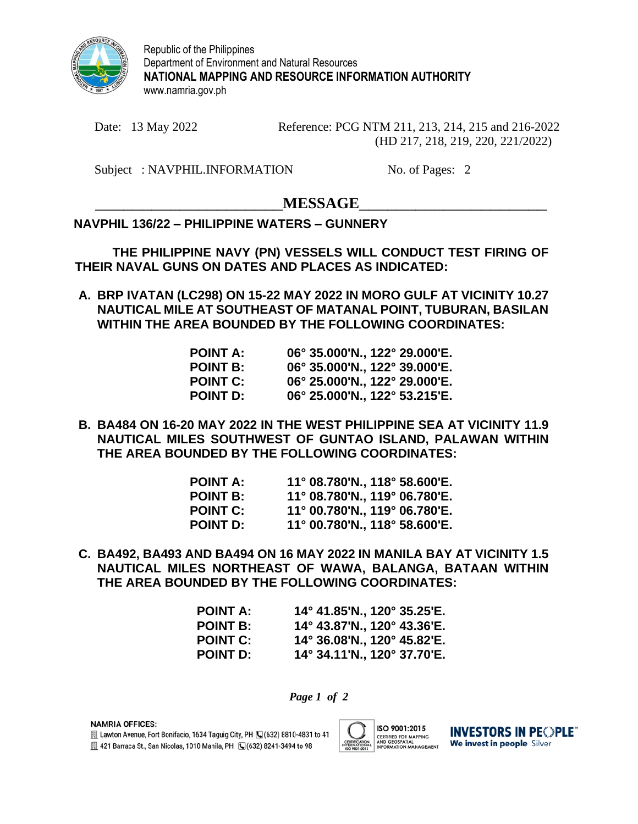

Republic of the Philippines Department of Environment and Natural Resources **NATIONAL MAPPING AND RESOURCE INFORMATION AUTHORITY** www.namria.gov.ph

Date: 13 May 2022 Reference: PCG NTM 211, 213, 214, 215 and 216-2022 (HD 217, 218, 219, 220, 221/2022)

Subject : NAVPHIL.INFORMATION No. of Pages: 2

## $MESSAGE$

## **NAVPHIL 136/22 – PHILIPPINE WATERS – GUNNERY**

**THE PHILIPPINE NAVY (PN) VESSELS WILL CONDUCT TEST FIRING OF THEIR NAVAL GUNS ON DATES AND PLACES AS INDICATED:**

**A. BRP IVATAN (LC298) ON 15-22 MAY 2022 IN MORO GULF AT VICINITY 10.27 NAUTICAL MILE AT SOUTHEAST OF MATANAL POINT, TUBURAN, BASILAN WITHIN THE AREA BOUNDED BY THE FOLLOWING COORDINATES:**

| <b>POINT A:</b> | 06° 35.000'N., 122° 29.000'E. |
|-----------------|-------------------------------|
| <b>POINT B:</b> | 06° 35.000'N., 122° 39.000'E. |
| <b>POINT C:</b> | 06° 25.000'N., 122° 29.000'E. |
| <b>POINT D:</b> | 06° 25.000'N., 122° 53.215'E. |

**B. BA484 ON 16-20 MAY 2022 IN THE WEST PHILIPPINE SEA AT VICINITY 11.9 NAUTICAL MILES SOUTHWEST OF GUNTAO ISLAND, PALAWAN WITHIN THE AREA BOUNDED BY THE FOLLOWING COORDINATES:**

| <b>POINT A:</b> | $11^{\circ}$ 08.780'N., 118° 58.600'E. |
|-----------------|----------------------------------------|
| <b>POINT B:</b> | $11^{\circ}$ 08.780'N., 119° 06.780'E. |
| <b>POINT C:</b> | $11^{\circ}$ 00.780'N., 119° 06.780'E. |
| <b>POINT D:</b> | $11^{\circ}$ 00.780'N., 118° 58.600'E. |

**C. BA492, BA493 AND BA494 ON 16 MAY 2022 IN MANILA BAY AT VICINITY 1.5 NAUTICAL MILES NORTHEAST OF WAWA, BALANGA, BATAAN WITHIN THE AREA BOUNDED BY THE FOLLOWING COORDINATES:**

| <b>POINT A:</b> | 14° 41.85'N., 120° 35.25'E. |
|-----------------|-----------------------------|
| <b>POINT B:</b> | 14° 43.87'N., 120° 43.36'E. |
| <b>POINT C:</b> | 14° 36.08'N., 120° 45.82'E. |
| <b>POINT D:</b> | 14° 34.11'N., 120° 37.70'E. |

*Page 1 of 2*